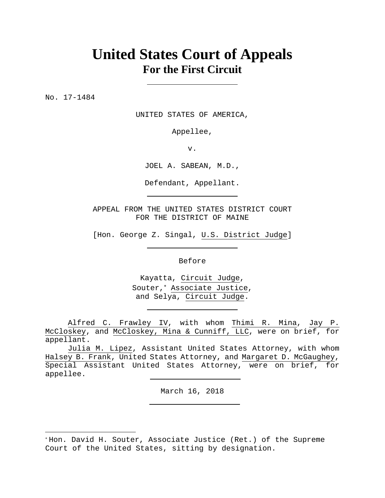# **United States Court of Appeals For the First Circuit**

No. 17-1484

 $\overline{a}$ 

UNITED STATES OF AMERICA,

Appellee,

v.

JOEL A. SABEAN, M.D.,

Defendant, Appellant.

APPEAL FROM THE UNITED STATES DISTRICT COURT FOR THE DISTRICT OF MAINE

[Hon. George Z. Singal, U.S. District Judge]

Before

Kayatta, Circuit Judge, Souter, Associate Justice, and Selya, Circuit Judge.

 Alfred C. Frawley IV, with whom Thimi R. Mina, Jay P. McCloskey, and McCloskey, Mina & Cunniff, LLC, were on brief, for appellant.

 Julia M. Lipez, Assistant United States Attorney, with whom Halsey B. Frank, United States Attorney, and Margaret D. McGaughey, Special Assistant United States Attorney, were on brief, for appellee.

March 16, 2018

Hon. David H. Souter, Associate Justice (Ret.) of the Supreme Court of the United States, sitting by designation.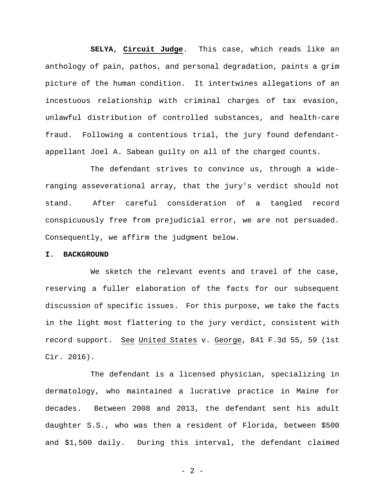**SELYA**, **Circuit Judge**. This case, which reads like an anthology of pain, pathos, and personal degradation, paints a grim picture of the human condition. It intertwines allegations of an incestuous relationship with criminal charges of tax evasion, unlawful distribution of controlled substances, and health-care fraud. Following a contentious trial, the jury found defendantappellant Joel A. Sabean guilty on all of the charged counts.

The defendant strives to convince us, through a wideranging asseverational array, that the jury's verdict should not stand. After careful consideration of a tangled record conspicuously free from prejudicial error, we are not persuaded. Consequently, we affirm the judgment below.

# **I. BACKGROUND**

We sketch the relevant events and travel of the case, reserving a fuller elaboration of the facts for our subsequent discussion of specific issues. For this purpose, we take the facts in the light most flattering to the jury verdict, consistent with record support. See United States v. George, 841 F.3d 55, 59 (1st Cir. 2016).

The defendant is a licensed physician, specializing in dermatology, who maintained a lucrative practice in Maine for decades. Between 2008 and 2013, the defendant sent his adult daughter S.S., who was then a resident of Florida, between \$500 and \$1,500 daily. During this interval, the defendant claimed

- 2 -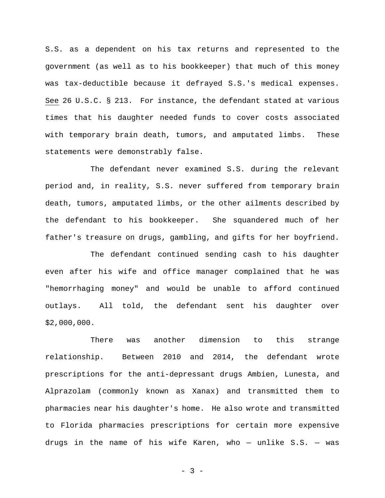S.S. as a dependent on his tax returns and represented to the government (as well as to his bookkeeper) that much of this money was tax-deductible because it defrayed S.S.'s medical expenses. See 26 U.S.C. § 213. For instance, the defendant stated at various times that his daughter needed funds to cover costs associated with temporary brain death, tumors, and amputated limbs. These statements were demonstrably false.

The defendant never examined S.S. during the relevant period and, in reality, S.S. never suffered from temporary brain death, tumors, amputated limbs, or the other ailments described by the defendant to his bookkeeper. She squandered much of her father's treasure on drugs, gambling, and gifts for her boyfriend.

The defendant continued sending cash to his daughter even after his wife and office manager complained that he was "hemorrhaging money" and would be unable to afford continued outlays. All told, the defendant sent his daughter over \$2,000,000.

There was another dimension to this strange relationship. Between 2010 and 2014, the defendant wrote prescriptions for the anti-depressant drugs Ambien, Lunesta, and Alprazolam (commonly known as Xanax) and transmitted them to pharmacies near his daughter's home. He also wrote and transmitted to Florida pharmacies prescriptions for certain more expensive drugs in the name of his wife Karen, who  $-$  unlike S.S.  $-$  was

- 3 -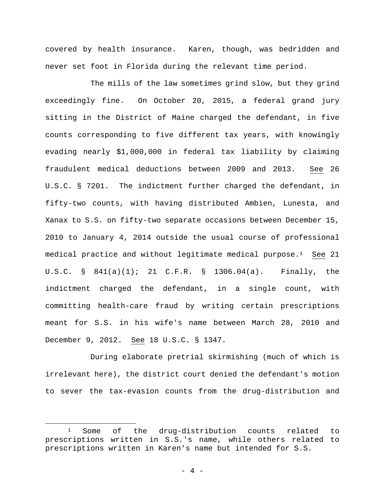covered by health insurance. Karen, though, was bedridden and never set foot in Florida during the relevant time period.

The mills of the law sometimes grind slow, but they grind exceedingly fine. On October 20, 2015, a federal grand jury sitting in the District of Maine charged the defendant, in five counts corresponding to five different tax years, with knowingly evading nearly \$1,000,000 in federal tax liability by claiming fraudulent medical deductions between 2009 and 2013. See 26 U.S.C. § 7201. The indictment further charged the defendant, in fifty-two counts, with having distributed Ambien, Lunesta, and Xanax to S.S. on fifty-two separate occasions between December 15, 2010 to January 4, 2014 outside the usual course of professional medical practice and without legitimate medical purpose.<sup>1</sup> See 21 U.S.C. § 841(a)(1); 21 C.F.R. § 1306.04(a). Finally, the indictment charged the defendant, in a single count, with committing health-care fraud by writing certain prescriptions meant for S.S. in his wife's name between March 28, 2010 and December 9, 2012. See 18 U.S.C. § 1347.

During elaborate pretrial skirmishing (much of which is irrelevant here), the district court denied the defendant's motion to sever the tax-evasion counts from the drug-distribution and

 $\overline{a}$ 

<sup>1</sup> Some of the drug-distribution counts related to prescriptions written in S.S.'s name, while others related to prescriptions written in Karen's name but intended for S.S.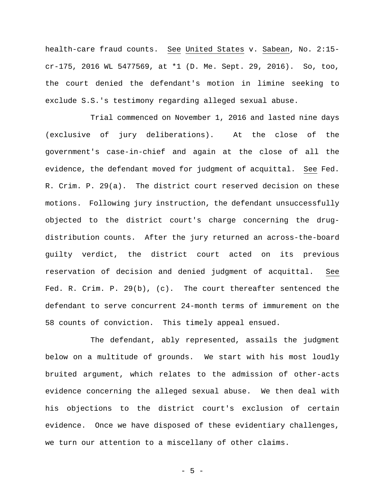health-care fraud counts. See United States v. Sabean, No. 2:15 cr-175, 2016 WL 5477569, at \*1 (D. Me. Sept. 29, 2016). So, too, the court denied the defendant's motion in limine seeking to exclude S.S.'s testimony regarding alleged sexual abuse.

Trial commenced on November 1, 2016 and lasted nine days (exclusive of jury deliberations). At the close of the government's case-in-chief and again at the close of all the evidence, the defendant moved for judgment of acquittal. See Fed. R. Crim. P. 29(a). The district court reserved decision on these motions. Following jury instruction, the defendant unsuccessfully objected to the district court's charge concerning the drugdistribution counts. After the jury returned an across-the-board guilty verdict, the district court acted on its previous reservation of decision and denied judgment of acquittal. See Fed. R. Crim. P. 29(b), (c). The court thereafter sentenced the defendant to serve concurrent 24-month terms of immurement on the 58 counts of conviction. This timely appeal ensued.

The defendant, ably represented, assails the judgment below on a multitude of grounds. We start with his most loudly bruited argument, which relates to the admission of other-acts evidence concerning the alleged sexual abuse. We then deal with his objections to the district court's exclusion of certain evidence. Once we have disposed of these evidentiary challenges, we turn our attention to a miscellany of other claims.

- 5 -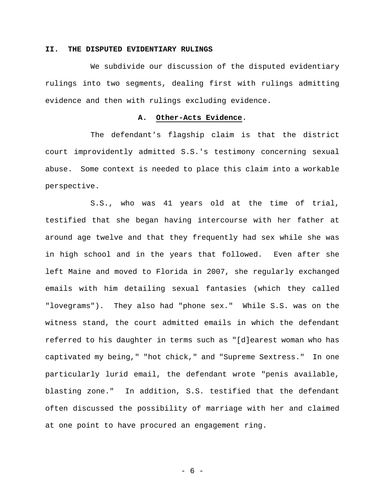# **II. THE DISPUTED EVIDENTIARY RULINGS**

We subdivide our discussion of the disputed evidentiary rulings into two segments, dealing first with rulings admitting evidence and then with rulings excluding evidence.

# **A. Other-Acts Evidence**.

The defendant's flagship claim is that the district court improvidently admitted S.S.'s testimony concerning sexual abuse. Some context is needed to place this claim into a workable perspective.

S.S., who was 41 years old at the time of trial, testified that she began having intercourse with her father at around age twelve and that they frequently had sex while she was in high school and in the years that followed. Even after she left Maine and moved to Florida in 2007, she regularly exchanged emails with him detailing sexual fantasies (which they called "lovegrams"). They also had "phone sex." While S.S. was on the witness stand, the court admitted emails in which the defendant referred to his daughter in terms such as "[d]earest woman who has captivated my being," "hot chick," and "Supreme Sextress." In one particularly lurid email, the defendant wrote "penis available, blasting zone." In addition, S.S. testified that the defendant often discussed the possibility of marriage with her and claimed at one point to have procured an engagement ring.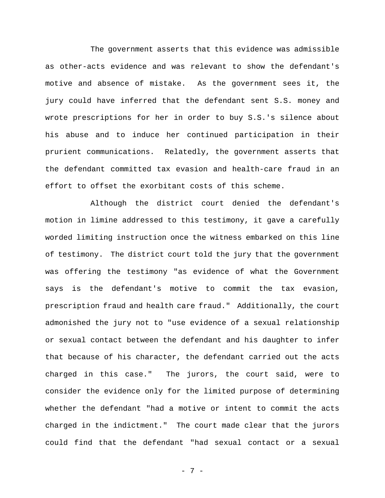The government asserts that this evidence was admissible as other-acts evidence and was relevant to show the defendant's motive and absence of mistake. As the government sees it, the jury could have inferred that the defendant sent S.S. money and wrote prescriptions for her in order to buy S.S.'s silence about his abuse and to induce her continued participation in their prurient communications. Relatedly, the government asserts that the defendant committed tax evasion and health-care fraud in an effort to offset the exorbitant costs of this scheme.

Although the district court denied the defendant's motion in limine addressed to this testimony, it gave a carefully worded limiting instruction once the witness embarked on this line of testimony. The district court told the jury that the government was offering the testimony "as evidence of what the Government says is the defendant's motive to commit the tax evasion, prescription fraud and health care fraud." Additionally, the court admonished the jury not to "use evidence of a sexual relationship or sexual contact between the defendant and his daughter to infer that because of his character, the defendant carried out the acts charged in this case." The jurors, the court said, were to consider the evidence only for the limited purpose of determining whether the defendant "had a motive or intent to commit the acts charged in the indictment." The court made clear that the jurors could find that the defendant "had sexual contact or a sexual

- 7 -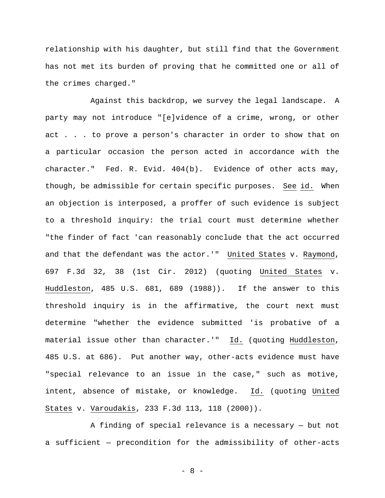relationship with his daughter, but still find that the Government has not met its burden of proving that he committed one or all of the crimes charged."

Against this backdrop, we survey the legal landscape. A party may not introduce "[e]vidence of a crime, wrong, or other act . . . to prove a person's character in order to show that on a particular occasion the person acted in accordance with the character." Fed. R. Evid. 404(b). Evidence of other acts may, though, be admissible for certain specific purposes. See id. When an objection is interposed, a proffer of such evidence is subject to a threshold inquiry: the trial court must determine whether "the finder of fact 'can reasonably conclude that the act occurred and that the defendant was the actor.'" United States v. Raymond, 697 F.3d 32, 38 (1st Cir. 2012) (quoting United States v. Huddleston, 485 U.S. 681, 689 (1988)). If the answer to this threshold inquiry is in the affirmative, the court next must determine "whether the evidence submitted 'is probative of a material issue other than character.'" Id. (quoting Huddleston, 485 U.S. at 686). Put another way, other-acts evidence must have "special relevance to an issue in the case," such as motive, intent, absence of mistake, or knowledge. Id. (quoting United States v. Varoudakis, 233 F.3d 113, 118 (2000)).

A finding of special relevance is a necessary — but not a sufficient — precondition for the admissibility of other-acts

- 8 -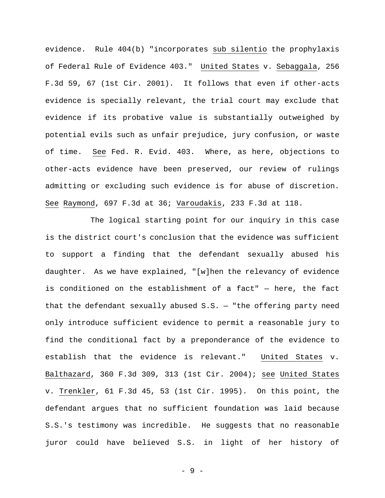evidence. Rule 404(b) "incorporates sub silentio the prophylaxis of Federal Rule of Evidence 403." United States v. Sebaggala, 256 F.3d 59, 67 (1st Cir. 2001). It follows that even if other-acts evidence is specially relevant, the trial court may exclude that evidence if its probative value is substantially outweighed by potential evils such as unfair prejudice, jury confusion, or waste of time. See Fed. R. Evid. 403. Where, as here, objections to other-acts evidence have been preserved, our review of rulings admitting or excluding such evidence is for abuse of discretion. See Raymond, 697 F.3d at 36; Varoudakis, 233 F.3d at 118.

The logical starting point for our inquiry in this case is the district court's conclusion that the evidence was sufficient to support a finding that the defendant sexually abused his daughter. As we have explained, "[w]hen the relevancy of evidence is conditioned on the establishment of a fact" — here, the fact that the defendant sexually abused  $S.S.$  - "the offering party need only introduce sufficient evidence to permit a reasonable jury to find the conditional fact by a preponderance of the evidence to establish that the evidence is relevant." United States v. Balthazard, 360 F.3d 309, 313 (1st Cir. 2004); see United States v. Trenkler, 61 F.3d 45, 53 (1st Cir. 1995). On this point, the defendant argues that no sufficient foundation was laid because S.S.'s testimony was incredible. He suggests that no reasonable juror could have believed S.S. in light of her history of

- 9 -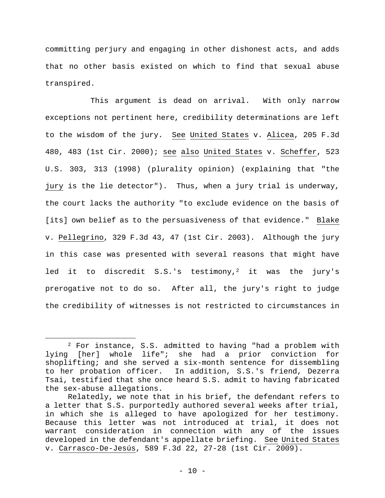committing perjury and engaging in other dishonest acts, and adds that no other basis existed on which to find that sexual abuse transpired.

This argument is dead on arrival. With only narrow exceptions not pertinent here, credibility determinations are left to the wisdom of the jury. See United States v. Alicea, 205 F.3d 480, 483 (1st Cir. 2000); see also United States v. Scheffer, 523 U.S. 303, 313 (1998) (plurality opinion) (explaining that "the jury is the lie detector"). Thus, when a jury trial is underway, the court lacks the authority "to exclude evidence on the basis of [its] own belief as to the persuasiveness of that evidence." Blake v. Pellegrino, 329 F.3d 43, 47 (1st Cir. 2003). Although the jury in this case was presented with several reasons that might have led it to discredit S.S.'s testimony,<sup>2</sup> it was the jury's prerogative not to do so. After all, the jury's right to judge the credibility of witnesses is not restricted to circumstances in

 $\overline{a}$ 

<sup>2</sup> For instance, S.S. admitted to having "had a problem with lying [her] whole life"; she had a prior conviction for shoplifting; and she served a six-month sentence for dissembling to her probation officer. In addition, S.S.'s friend, Dezerra Tsai, testified that she once heard S.S. admit to having fabricated the sex-abuse allegations.

Relatedly, we note that in his brief, the defendant refers to a letter that S.S. purportedly authored several weeks after trial, in which she is alleged to have apologized for her testimony. Because this letter was not introduced at trial, it does not warrant consideration in connection with any of the issues developed in the defendant's appellate briefing. See United States v. Carrasco-De-Jesús, 589 F.3d 22, 27-28 (1st Cir. 2009).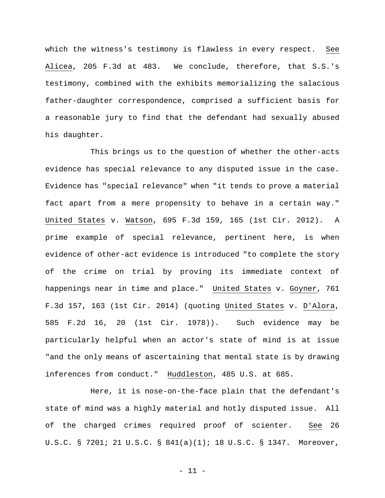which the witness's testimony is flawless in every respect. See Alicea, 205 F.3d at 483. We conclude, therefore, that S.S.'s testimony, combined with the exhibits memorializing the salacious father-daughter correspondence, comprised a sufficient basis for a reasonable jury to find that the defendant had sexually abused his daughter.

This brings us to the question of whether the other-acts evidence has special relevance to any disputed issue in the case. Evidence has "special relevance" when "it tends to prove a material fact apart from a mere propensity to behave in a certain way." United States v. Watson, 695 F.3d 159, 165 (1st Cir. 2012). A prime example of special relevance, pertinent here, is when evidence of other-act evidence is introduced "to complete the story of the crime on trial by proving its immediate context of happenings near in time and place." United States v. Goyner, 761 F.3d 157, 163 (1st Cir. 2014) (quoting United States v. D'Alora, 585 F.2d 16, 20 (1st Cir. 1978)). Such evidence may be particularly helpful when an actor's state of mind is at issue "and the only means of ascertaining that mental state is by drawing inferences from conduct." Huddleston, 485 U.S. at 685.

Here, it is nose-on-the-face plain that the defendant's state of mind was a highly material and hotly disputed issue. All of the charged crimes required proof of scienter. See 26 U.S.C. § 7201; 21 U.S.C. § 841(a)(1); 18 U.S.C. § 1347. Moreover,

- 11 -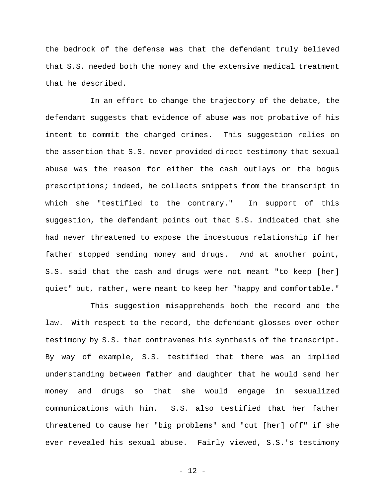the bedrock of the defense was that the defendant truly believed that S.S. needed both the money and the extensive medical treatment that he described.

In an effort to change the trajectory of the debate, the defendant suggests that evidence of abuse was not probative of his intent to commit the charged crimes. This suggestion relies on the assertion that S.S. never provided direct testimony that sexual abuse was the reason for either the cash outlays or the bogus prescriptions; indeed, he collects snippets from the transcript in which she "testified to the contrary." In support of this suggestion, the defendant points out that S.S. indicated that she had never threatened to expose the incestuous relationship if her father stopped sending money and drugs. And at another point, S.S. said that the cash and drugs were not meant "to keep [her] quiet" but, rather, were meant to keep her "happy and comfortable."

This suggestion misapprehends both the record and the law. With respect to the record, the defendant glosses over other testimony by S.S. that contravenes his synthesis of the transcript. By way of example, S.S. testified that there was an implied understanding between father and daughter that he would send her money and drugs so that she would engage in sexualized communications with him. S.S. also testified that her father threatened to cause her "big problems" and "cut [her] off" if she ever revealed his sexual abuse. Fairly viewed, S.S.'s testimony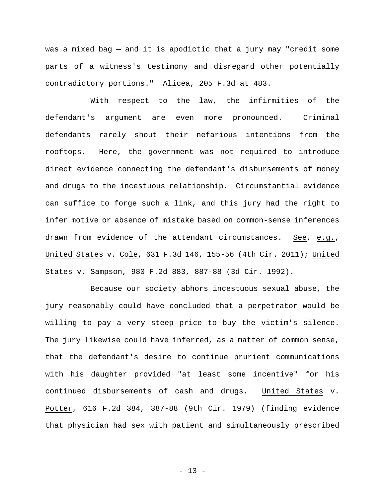was a mixed bag — and it is apodictic that a jury may "credit some parts of a witness's testimony and disregard other potentially contradictory portions." Alicea, 205 F.3d at 483.

With respect to the law, the infirmities of the defendant's argument are even more pronounced. Criminal defendants rarely shout their nefarious intentions from the rooftops. Here, the government was not required to introduce direct evidence connecting the defendant's disbursements of money and drugs to the incestuous relationship. Circumstantial evidence can suffice to forge such a link, and this jury had the right to infer motive or absence of mistake based on common-sense inferences drawn from evidence of the attendant circumstances. See, e.g., United States v. Cole, 631 F.3d 146, 155-56 (4th Cir. 2011); United States v. Sampson, 980 F.2d 883, 887-88 (3d Cir. 1992).

Because our society abhors incestuous sexual abuse, the jury reasonably could have concluded that a perpetrator would be willing to pay a very steep price to buy the victim's silence. The jury likewise could have inferred, as a matter of common sense, that the defendant's desire to continue prurient communications with his daughter provided "at least some incentive" for his continued disbursements of cash and drugs. United States v. Potter, 616 F.2d 384, 387-88 (9th Cir. 1979) (finding evidence that physician had sex with patient and simultaneously prescribed

- 13 -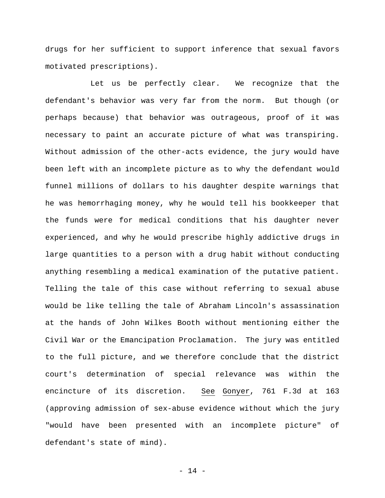drugs for her sufficient to support inference that sexual favors motivated prescriptions).

Let us be perfectly clear. We recognize that the defendant's behavior was very far from the norm. But though (or perhaps because) that behavior was outrageous, proof of it was necessary to paint an accurate picture of what was transpiring. Without admission of the other-acts evidence, the jury would have been left with an incomplete picture as to why the defendant would funnel millions of dollars to his daughter despite warnings that he was hemorrhaging money, why he would tell his bookkeeper that the funds were for medical conditions that his daughter never experienced, and why he would prescribe highly addictive drugs in large quantities to a person with a drug habit without conducting anything resembling a medical examination of the putative patient. Telling the tale of this case without referring to sexual abuse would be like telling the tale of Abraham Lincoln's assassination at the hands of John Wilkes Booth without mentioning either the Civil War or the Emancipation Proclamation. The jury was entitled to the full picture, and we therefore conclude that the district court's determination of special relevance was within the encincture of its discretion. See Gonyer, 761 F.3d at 163 (approving admission of sex-abuse evidence without which the jury "would have been presented with an incomplete picture" of defendant's state of mind).

- 14 -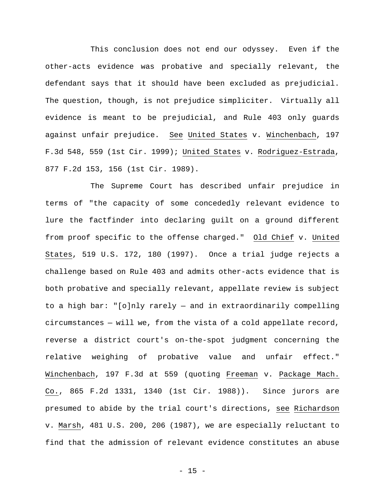This conclusion does not end our odyssey. Even if the other-acts evidence was probative and specially relevant, the defendant says that it should have been excluded as prejudicial. The question, though, is not prejudice simpliciter. Virtually all evidence is meant to be prejudicial, and Rule 403 only guards against unfair prejudice. See United States v. Winchenbach, 197 F.3d 548, 559 (1st Cir. 1999); United States v. Rodriguez-Estrada, 877 F.2d 153, 156 (1st Cir. 1989).

The Supreme Court has described unfair prejudice in terms of "the capacity of some concededly relevant evidence to lure the factfinder into declaring guilt on a ground different from proof specific to the offense charged." Old Chief v. United States, 519 U.S. 172, 180 (1997). Once a trial judge rejects a challenge based on Rule 403 and admits other-acts evidence that is both probative and specially relevant, appellate review is subject to a high bar: "[o]nly rarely — and in extraordinarily compelling circumstances — will we, from the vista of a cold appellate record, reverse a district court's on-the-spot judgment concerning the relative weighing of probative value and unfair effect." Winchenbach, 197 F.3d at 559 (quoting Freeman v. Package Mach. Co., 865 F.2d 1331, 1340 (1st Cir. 1988)). Since jurors are presumed to abide by the trial court's directions, see Richardson v. Marsh, 481 U.S. 200, 206 (1987), we are especially reluctant to find that the admission of relevant evidence constitutes an abuse

 $- 15 -$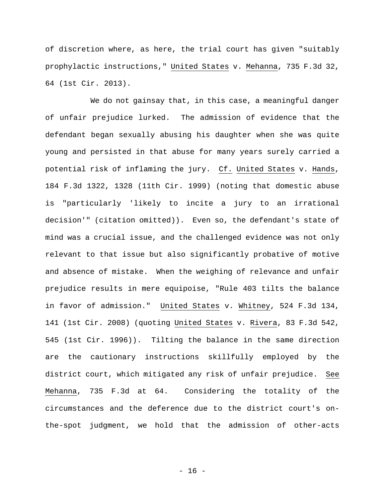of discretion where, as here, the trial court has given "suitably prophylactic instructions," United States v. Mehanna, 735 F.3d 32, 64 (1st Cir. 2013).

We do not gainsay that, in this case, a meaningful danger of unfair prejudice lurked. The admission of evidence that the defendant began sexually abusing his daughter when she was quite young and persisted in that abuse for many years surely carried a potential risk of inflaming the jury. Cf. United States v. Hands, 184 F.3d 1322, 1328 (11th Cir. 1999) (noting that domestic abuse is "particularly 'likely to incite a jury to an irrational decision'" (citation omitted)). Even so, the defendant's state of mind was a crucial issue, and the challenged evidence was not only relevant to that issue but also significantly probative of motive and absence of mistake. When the weighing of relevance and unfair prejudice results in mere equipoise, "Rule 403 tilts the balance in favor of admission." United States v. Whitney, 524 F.3d 134, 141 (1st Cir. 2008) (quoting United States v. Rivera, 83 F.3d 542, 545 (1st Cir. 1996)). Tilting the balance in the same direction are the cautionary instructions skillfully employed by the district court, which mitigated any risk of unfair prejudice. See Mehanna, 735 F.3d at 64. Considering the totality of the circumstances and the deference due to the district court's onthe-spot judgment, we hold that the admission of other-acts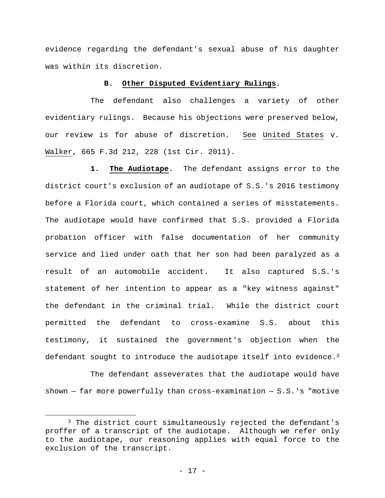evidence regarding the defendant's sexual abuse of his daughter was within its discretion.

# **B. Other Disputed Evidentiary Rulings.**

The defendant also challenges a variety of other evidentiary rulings. Because his objections were preserved below, our review is for abuse of discretion. See United States v. Walker, 665 F.3d 212, 228 (1st Cir. 2011).

**1. The Audiotape.** The defendant assigns error to the district court's exclusion of an audiotape of S.S.'s 2016 testimony before a Florida court, which contained a series of misstatements. The audiotape would have confirmed that S.S. provided a Florida probation officer with false documentation of her community service and lied under oath that her son had been paralyzed as a result of an automobile accident. It also captured S.S.'s statement of her intention to appear as a "key witness against" the defendant in the criminal trial. While the district court permitted the defendant to cross-examine S.S. about this testimony, it sustained the government's objection when the defendant sought to introduce the audiotape itself into evidence.<sup>3</sup>

The defendant asseverates that the audiotape would have shown  $-$  far more powerfully than cross-examination  $-$  S.S.'s "motive

1

<sup>&</sup>lt;sup>3</sup> The district court simultaneously rejected the defendant's proffer of a transcript of the audiotape. Although we refer only to the audiotape, our reasoning applies with equal force to the exclusion of the transcript.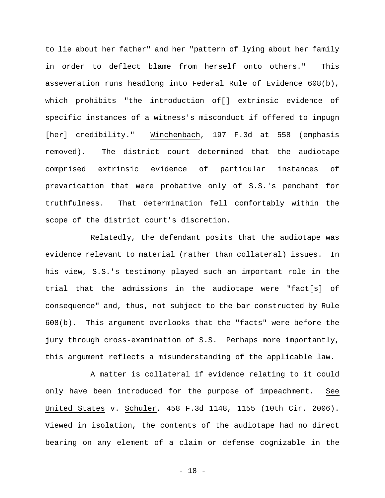to lie about her father" and her "pattern of lying about her family in order to deflect blame from herself onto others." This asseveration runs headlong into Federal Rule of Evidence 608(b), which prohibits "the introduction of[] extrinsic evidence of specific instances of a witness's misconduct if offered to impugn [her] credibility." Winchenbach, 197 F.3d at 558 (emphasis removed). The district court determined that the audiotape comprised extrinsic evidence of particular instances of prevarication that were probative only of S.S.'s penchant for truthfulness. That determination fell comfortably within the scope of the district court's discretion.

Relatedly, the defendant posits that the audiotape was evidence relevant to material (rather than collateral) issues. In his view, S.S.'s testimony played such an important role in the trial that the admissions in the audiotape were "fact[s] of consequence" and, thus, not subject to the bar constructed by Rule 608(b). This argument overlooks that the "facts" were before the jury through cross-examination of S.S. Perhaps more importantly, this argument reflects a misunderstanding of the applicable law.

A matter is collateral if evidence relating to it could only have been introduced for the purpose of impeachment. See United States v. Schuler, 458 F.3d 1148, 1155 (10th Cir. 2006). Viewed in isolation, the contents of the audiotape had no direct bearing on any element of a claim or defense cognizable in the

- 18 -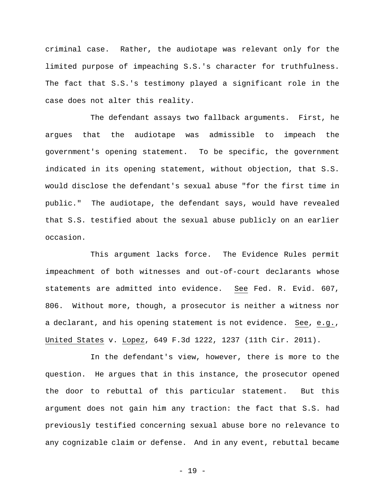criminal case. Rather, the audiotape was relevant only for the limited purpose of impeaching S.S.'s character for truthfulness. The fact that S.S.'s testimony played a significant role in the case does not alter this reality.

The defendant assays two fallback arguments. First, he argues that the audiotape was admissible to impeach the government's opening statement. To be specific, the government indicated in its opening statement, without objection, that S.S. would disclose the defendant's sexual abuse "for the first time in public." The audiotape, the defendant says, would have revealed that S.S. testified about the sexual abuse publicly on an earlier occasion.

This argument lacks force. The Evidence Rules permit impeachment of both witnesses and out-of-court declarants whose statements are admitted into evidence. See Fed. R. Evid. 607, 806. Without more, though, a prosecutor is neither a witness nor a declarant, and his opening statement is not evidence. See, e.g., United States v. Lopez, 649 F.3d 1222, 1237 (11th Cir. 2011).

In the defendant's view, however, there is more to the question. He argues that in this instance, the prosecutor opened the door to rebuttal of this particular statement. But this argument does not gain him any traction: the fact that S.S. had previously testified concerning sexual abuse bore no relevance to any cognizable claim or defense. And in any event, rebuttal became

- 19 -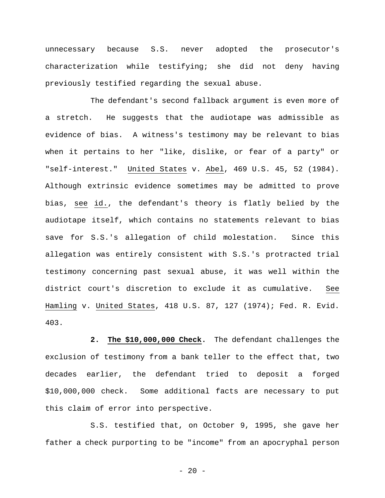unnecessary because S.S. never adopted the prosecutor's characterization while testifying; she did not deny having previously testified regarding the sexual abuse.

The defendant's second fallback argument is even more of a stretch. He suggests that the audiotape was admissible as evidence of bias. A witness's testimony may be relevant to bias when it pertains to her "like, dislike, or fear of a party" or "self-interest." United States v. Abel, 469 U.S. 45, 52 (1984). Although extrinsic evidence sometimes may be admitted to prove bias, see id., the defendant's theory is flatly belied by the audiotape itself, which contains no statements relevant to bias save for S.S.'s allegation of child molestation. Since this allegation was entirely consistent with S.S.'s protracted trial testimony concerning past sexual abuse, it was well within the district court's discretion to exclude it as cumulative. See Hamling v. United States, 418 U.S. 87, 127 (1974); Fed. R. Evid. 403.

 **2. The \$10,000,000 Check.** The defendant challenges the exclusion of testimony from a bank teller to the effect that, two decades earlier, the defendant tried to deposit a forged \$10,000,000 check. Some additional facts are necessary to put this claim of error into perspective.

 S.S. testified that, on October 9, 1995, she gave her father a check purporting to be "income" from an apocryphal person

 $- 20 -$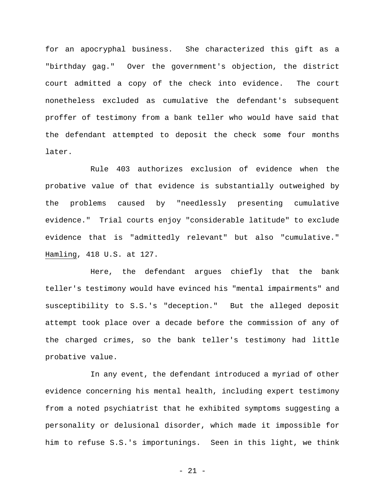for an apocryphal business. She characterized this gift as a "birthday gag." Over the government's objection, the district court admitted a copy of the check into evidence. The court nonetheless excluded as cumulative the defendant's subsequent proffer of testimony from a bank teller who would have said that the defendant attempted to deposit the check some four months later.

Rule 403 authorizes exclusion of evidence when the probative value of that evidence is substantially outweighed by the problems caused by "needlessly presenting cumulative evidence." Trial courts enjoy "considerable latitude" to exclude evidence that is "admittedly relevant" but also "cumulative." Hamling, 418 U.S. at 127.

Here, the defendant argues chiefly that the bank teller's testimony would have evinced his "mental impairments" and susceptibility to S.S.'s "deception." But the alleged deposit attempt took place over a decade before the commission of any of the charged crimes, so the bank teller's testimony had little probative value.

In any event, the defendant introduced a myriad of other evidence concerning his mental health, including expert testimony from a noted psychiatrist that he exhibited symptoms suggesting a personality or delusional disorder, which made it impossible for him to refuse S.S.'s importunings. Seen in this light, we think

- 21 -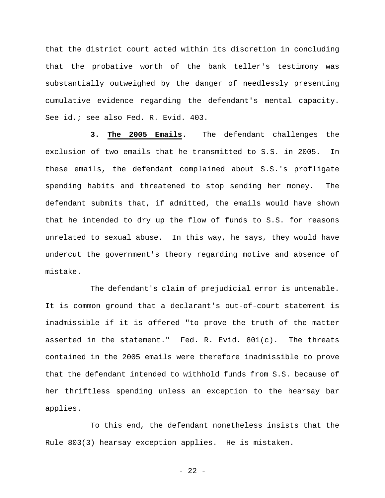that the district court acted within its discretion in concluding that the probative worth of the bank teller's testimony was substantially outweighed by the danger of needlessly presenting cumulative evidence regarding the defendant's mental capacity. See id.; see also Fed. R. Evid. 403.

**3. The 2005 Emails.** The defendant challenges the exclusion of two emails that he transmitted to S.S. in 2005. In these emails, the defendant complained about S.S.'s profligate spending habits and threatened to stop sending her money. The defendant submits that, if admitted, the emails would have shown that he intended to dry up the flow of funds to S.S. for reasons unrelated to sexual abuse. In this way, he says, they would have undercut the government's theory regarding motive and absence of mistake.

The defendant's claim of prejudicial error is untenable. It is common ground that a declarant's out-of-court statement is inadmissible if it is offered "to prove the truth of the matter asserted in the statement." Fed. R. Evid.  $801(c)$ . The threats contained in the 2005 emails were therefore inadmissible to prove that the defendant intended to withhold funds from S.S. because of her thriftless spending unless an exception to the hearsay bar applies.

To this end, the defendant nonetheless insists that the Rule 803(3) hearsay exception applies. He is mistaken.

- 22 -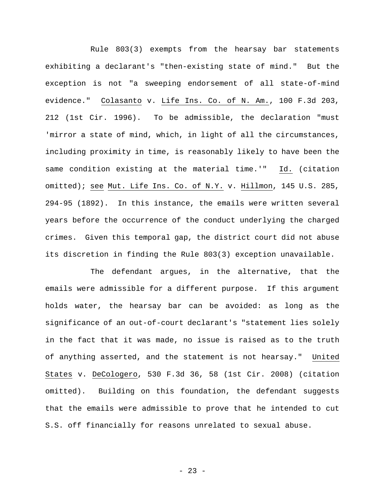Rule 803(3) exempts from the hearsay bar statements exhibiting a declarant's "then-existing state of mind." But the exception is not "a sweeping endorsement of all state-of-mind evidence." Colasanto v. Life Ins. Co. of N. Am., 100 F.3d 203, 212 (1st Cir. 1996). To be admissible, the declaration "must 'mirror a state of mind, which, in light of all the circumstances, including proximity in time, is reasonably likely to have been the same condition existing at the material time.'" Id. (citation omitted); see Mut. Life Ins. Co. of N.Y. v. Hillmon, 145 U.S. 285, 294-95 (1892). In this instance, the emails were written several years before the occurrence of the conduct underlying the charged crimes. Given this temporal gap, the district court did not abuse its discretion in finding the Rule 803(3) exception unavailable.

The defendant argues, in the alternative, that the emails were admissible for a different purpose. If this argument holds water, the hearsay bar can be avoided: as long as the significance of an out-of-court declarant's "statement lies solely in the fact that it was made, no issue is raised as to the truth of anything asserted, and the statement is not hearsay." United States v. DeCologero, 530 F.3d 36, 58 (1st Cir. 2008) (citation omitted). Building on this foundation, the defendant suggests that the emails were admissible to prove that he intended to cut S.S. off financially for reasons unrelated to sexual abuse.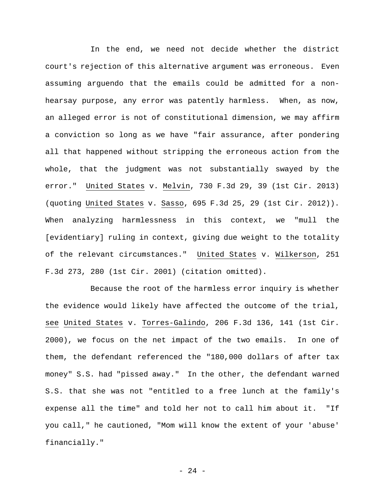In the end, we need not decide whether the district court's rejection of this alternative argument was erroneous. Even assuming arguendo that the emails could be admitted for a nonhearsay purpose, any error was patently harmless. When, as now, an alleged error is not of constitutional dimension, we may affirm a conviction so long as we have "fair assurance, after pondering all that happened without stripping the erroneous action from the whole, that the judgment was not substantially swayed by the error." United States v. Melvin, 730 F.3d 29, 39 (1st Cir. 2013) (quoting United States v. Sasso, 695 F.3d 25, 29 (1st Cir. 2012)). When analyzing harmlessness in this context, we "mull the [evidentiary] ruling in context, giving due weight to the totality of the relevant circumstances." United States v. Wilkerson, 251 F.3d 273, 280 (1st Cir. 2001) (citation omitted).

Because the root of the harmless error inquiry is whether the evidence would likely have affected the outcome of the trial, see United States v. Torres-Galindo, 206 F.3d 136, 141 (1st Cir. 2000), we focus on the net impact of the two emails. In one of them, the defendant referenced the "180,000 dollars of after tax money" S.S. had "pissed away." In the other, the defendant warned S.S. that she was not "entitled to a free lunch at the family's expense all the time" and told her not to call him about it. "If you call," he cautioned, "Mom will know the extent of your 'abuse' financially."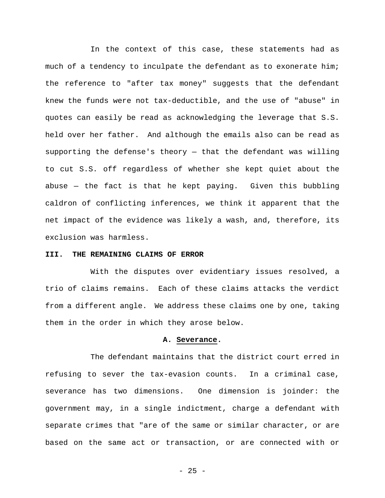In the context of this case, these statements had as much of a tendency to inculpate the defendant as to exonerate him; the reference to "after tax money" suggests that the defendant knew the funds were not tax-deductible, and the use of "abuse" in quotes can easily be read as acknowledging the leverage that S.S. held over her father. And although the emails also can be read as supporting the defense's theory — that the defendant was willing to cut S.S. off regardless of whether she kept quiet about the abuse — the fact is that he kept paying. Given this bubbling caldron of conflicting inferences, we think it apparent that the net impact of the evidence was likely a wash, and, therefore, its exclusion was harmless.

# **III. THE REMAINING CLAIMS OF ERROR**

With the disputes over evidentiary issues resolved, a trio of claims remains. Each of these claims attacks the verdict from a different angle. We address these claims one by one, taking them in the order in which they arose below.

#### **A. Severance.**

The defendant maintains that the district court erred in refusing to sever the tax-evasion counts. In a criminal case, severance has two dimensions. One dimension is joinder: the government may, in a single indictment, charge a defendant with separate crimes that "are of the same or similar character, or are based on the same act or transaction, or are connected with or

- 25 -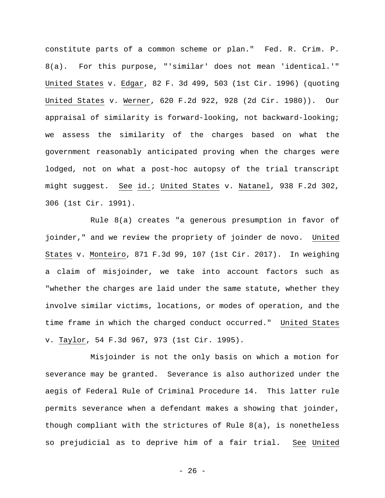constitute parts of a common scheme or plan." Fed. R. Crim. P. 8(a). For this purpose, "'similar' does not mean 'identical.'" United States v. Edgar, 82 F. 3d 499, 503 (1st Cir. 1996) (quoting United States v. Werner, 620 F.2d 922, 928 (2d Cir. 1980)). Our appraisal of similarity is forward-looking, not backward-looking; we assess the similarity of the charges based on what the government reasonably anticipated proving when the charges were lodged, not on what a post-hoc autopsy of the trial transcript might suggest. See id.; United States v. Natanel, 938 F.2d 302, 306 (1st Cir. 1991).

Rule 8(a) creates "a generous presumption in favor of joinder," and we review the propriety of joinder de novo. United States v. Monteiro, 871 F.3d 99, 107 (1st Cir. 2017). In weighing a claim of misjoinder, we take into account factors such as "whether the charges are laid under the same statute, whether they involve similar victims, locations, or modes of operation, and the time frame in which the charged conduct occurred." United States v. Taylor, 54 F.3d 967, 973 (1st Cir. 1995).

Misjoinder is not the only basis on which a motion for severance may be granted. Severance is also authorized under the aegis of Federal Rule of Criminal Procedure 14. This latter rule permits severance when a defendant makes a showing that joinder, though compliant with the strictures of Rule 8(a), is nonetheless so prejudicial as to deprive him of a fair trial. See United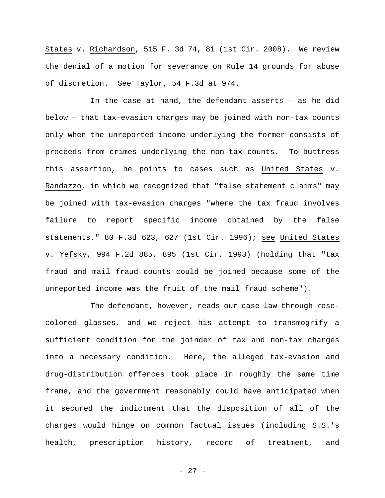States v. Richardson, 515 F. 3d 74, 81 (1st Cir. 2008). We review the denial of a motion for severance on Rule 14 grounds for abuse of discretion. See Taylor, 54 F.3d at 974.

In the case at hand, the defendant asserts — as he did below — that tax-evasion charges may be joined with non-tax counts only when the unreported income underlying the former consists of proceeds from crimes underlying the non-tax counts. To buttress this assertion, he points to cases such as United States v. Randazzo, in which we recognized that "false statement claims" may be joined with tax-evasion charges "where the tax fraud involves failure to report specific income obtained by the false statements." 80 F.3d 623, 627 (1st Cir. 1996); see United States v. Yefsky, 994 F.2d 885, 895 (1st Cir. 1993) (holding that "tax fraud and mail fraud counts could be joined because some of the unreported income was the fruit of the mail fraud scheme").

The defendant, however, reads our case law through rosecolored glasses, and we reject his attempt to transmogrify a sufficient condition for the joinder of tax and non-tax charges into a necessary condition. Here, the alleged tax-evasion and drug-distribution offences took place in roughly the same time frame, and the government reasonably could have anticipated when it secured the indictment that the disposition of all of the charges would hinge on common factual issues (including S.S.'s health, prescription history, record of treatment, and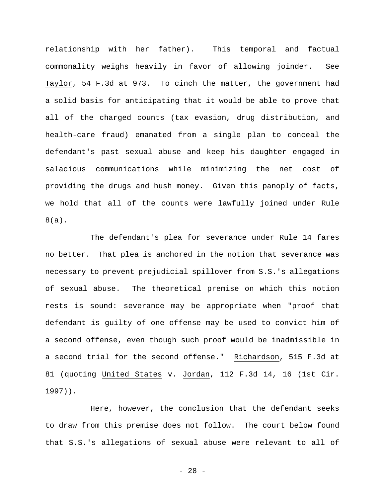relationship with her father). This temporal and factual commonality weighs heavily in favor of allowing joinder. See Taylor, 54 F.3d at 973. To cinch the matter, the government had a solid basis for anticipating that it would be able to prove that all of the charged counts (tax evasion, drug distribution, and health-care fraud) emanated from a single plan to conceal the defendant's past sexual abuse and keep his daughter engaged in salacious communications while minimizing the net cost of providing the drugs and hush money. Given this panoply of facts, we hold that all of the counts were lawfully joined under Rule 8(a).

The defendant's plea for severance under Rule 14 fares no better. That plea is anchored in the notion that severance was necessary to prevent prejudicial spillover from S.S.'s allegations of sexual abuse. The theoretical premise on which this notion rests is sound: severance may be appropriate when "proof that defendant is guilty of one offense may be used to convict him of a second offense, even though such proof would be inadmissible in a second trial for the second offense." Richardson, 515 F.3d at 81 (quoting United States v. Jordan, 112 F.3d 14, 16 (1st Cir. 1997)).

Here, however, the conclusion that the defendant seeks to draw from this premise does not follow. The court below found that S.S.'s allegations of sexual abuse were relevant to all of

- 28 -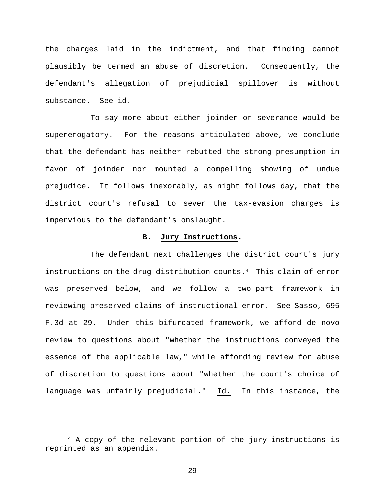the charges laid in the indictment, and that finding cannot plausibly be termed an abuse of discretion. Consequently, the defendant's allegation of prejudicial spillover is without substance. See id.

To say more about either joinder or severance would be supererogatory. For the reasons articulated above, we conclude that the defendant has neither rebutted the strong presumption in favor of joinder nor mounted a compelling showing of undue prejudice. It follows inexorably, as night follows day, that the district court's refusal to sever the tax-evasion charges is impervious to the defendant's onslaught.

# **B. Jury Instructions.**

The defendant next challenges the district court's jury instructions on the drug-distribution counts.4 This claim of error was preserved below, and we follow a two-part framework in reviewing preserved claims of instructional error. See Sasso, 695 F.3d at 29. Under this bifurcated framework, we afford de novo review to questions about "whether the instructions conveyed the essence of the applicable law," while affording review for abuse of discretion to questions about "whether the court's choice of language was unfairly prejudicial." Id. In this instance, the

 $\overline{a}$ 

<sup>4</sup> A copy of the relevant portion of the jury instructions is reprinted as an appendix.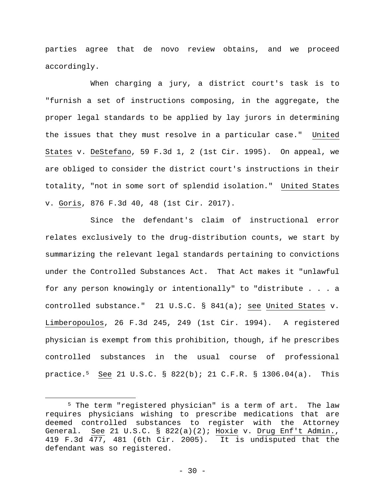parties agree that de novo review obtains, and we proceed accordingly.

When charging a jury, a district court's task is to "furnish a set of instructions composing, in the aggregate, the proper legal standards to be applied by lay jurors in determining the issues that they must resolve in a particular case." United States v. DeStefano, 59 F.3d 1, 2 (1st Cir. 1995). On appeal, we are obliged to consider the district court's instructions in their totality, "not in some sort of splendid isolation." United States v. Goris, 876 F.3d 40, 48 (1st Cir. 2017).

Since the defendant's claim of instructional error relates exclusively to the drug-distribution counts, we start by summarizing the relevant legal standards pertaining to convictions under the Controlled Substances Act. That Act makes it "unlawful for any person knowingly or intentionally" to "distribute . . . a controlled substance." 21 U.S.C. § 841(a); see United States v. Limberopoulos, 26 F.3d 245, 249 (1st Cir. 1994). A registered physician is exempt from this prohibition, though, if he prescribes controlled substances in the usual course of professional practice.5 See 21 U.S.C. § 822(b); 21 C.F.R. § 1306.04(a). This

 $\overline{a}$ 

<sup>5</sup> The term "registered physician" is a term of art. The law requires physicians wishing to prescribe medications that are deemed controlled substances to register with the Attorney General. See 21 U.S.C. § 822(a)(2); Hoxie v. Drug Enf't Admin., 419 F.3d 477, 481 (6th Cir. 2005). It is undisputed that the defendant was so registered.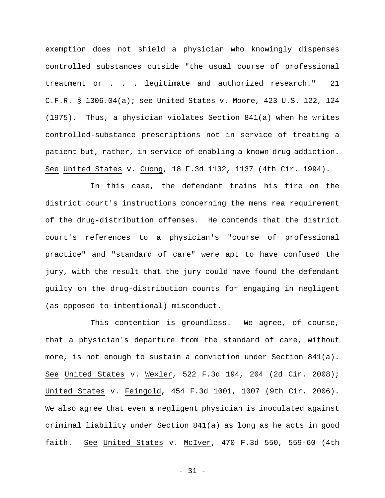exemption does not shield a physician who knowingly dispenses controlled substances outside "the usual course of professional treatment or . . . legitimate and authorized research." 21 C.F.R. § 1306.04(a); see United States v. Moore, 423 U.S. 122, 124 (1975). Thus, a physician violates Section 841(a) when he writes controlled-substance prescriptions not in service of treating a patient but, rather, in service of enabling a known drug addiction. See United States v. Cuong, 18 F.3d 1132, 1137 (4th Cir. 1994).

In this case, the defendant trains his fire on the district court's instructions concerning the mens rea requirement of the drug-distribution offenses. He contends that the district court's references to a physician's "course of professional practice" and "standard of care" were apt to have confused the jury, with the result that the jury could have found the defendant guilty on the drug-distribution counts for engaging in negligent (as opposed to intentional) misconduct.

This contention is groundless. We agree, of course, that a physician's departure from the standard of care, without more, is not enough to sustain a conviction under Section 841(a). See United States v. Wexler, 522 F.3d 194, 204 (2d Cir. 2008); United States v. Feingold, 454 F.3d 1001, 1007 (9th Cir. 2006). We also agree that even a negligent physician is inoculated against criminal liability under Section 841(a) as long as he acts in good faith. See United States v. McIver, 470 F.3d 550, 559-60 (4th

- 31 -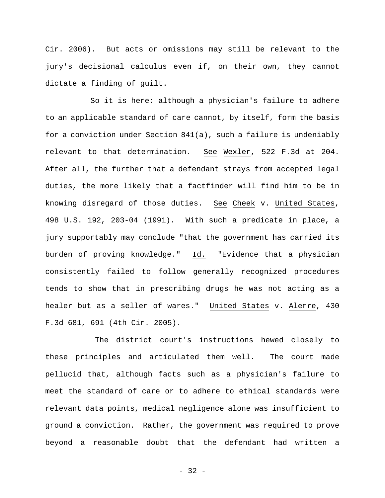Cir. 2006). But acts or omissions may still be relevant to the jury's decisional calculus even if, on their own, they cannot dictate a finding of guilt.

So it is here: although a physician's failure to adhere to an applicable standard of care cannot, by itself, form the basis for a conviction under Section 841(a), such a failure is undeniably relevant to that determination. See Wexler, 522 F.3d at 204. After all, the further that a defendant strays from accepted legal duties, the more likely that a factfinder will find him to be in knowing disregard of those duties. See Cheek v. United States, 498 U.S. 192, 203-04 (1991). With such a predicate in place, a jury supportably may conclude "that the government has carried its burden of proving knowledge." Id. "Evidence that a physician consistently failed to follow generally recognized procedures tends to show that in prescribing drugs he was not acting as a healer but as a seller of wares." United States v. Alerre, 430 F.3d 681, 691 (4th Cir. 2005).

 The district court's instructions hewed closely to these principles and articulated them well. The court made pellucid that, although facts such as a physician's failure to meet the standard of care or to adhere to ethical standards were relevant data points, medical negligence alone was insufficient to ground a conviction. Rather, the government was required to prove beyond a reasonable doubt that the defendant had written a

- 32 -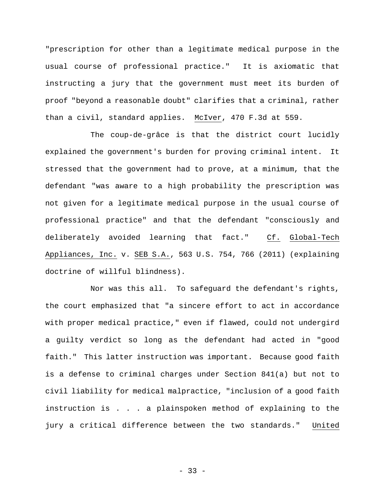"prescription for other than a legitimate medical purpose in the usual course of professional practice." It is axiomatic that instructing a jury that the government must meet its burden of proof "beyond a reasonable doubt" clarifies that a criminal, rather than a civil, standard applies. McIver, 470 F.3d at 559.

The coup-de-grâce is that the district court lucidly explained the government's burden for proving criminal intent. It stressed that the government had to prove, at a minimum, that the defendant "was aware to a high probability the prescription was not given for a legitimate medical purpose in the usual course of professional practice" and that the defendant "consciously and deliberately avoided learning that fact." Cf. Global-Tech Appliances, Inc. v. SEB S.A., 563 U.S. 754, 766 (2011) (explaining doctrine of willful blindness).

Nor was this all. To safeguard the defendant's rights, the court emphasized that "a sincere effort to act in accordance with proper medical practice," even if flawed, could not undergird a guilty verdict so long as the defendant had acted in "good faith." This latter instruction was important. Because good faith is a defense to criminal charges under Section 841(a) but not to civil liability for medical malpractice, "inclusion of a good faith instruction is . . . a plainspoken method of explaining to the jury a critical difference between the two standards." United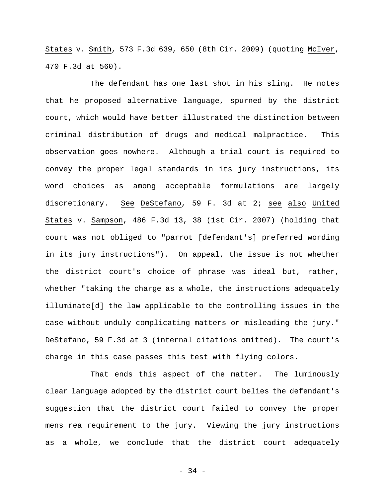States v. Smith, 573 F.3d 639, 650 (8th Cir. 2009) (quoting McIver, 470 F.3d at 560).

The defendant has one last shot in his sling. He notes that he proposed alternative language, spurned by the district court, which would have better illustrated the distinction between criminal distribution of drugs and medical malpractice. This observation goes nowhere. Although a trial court is required to convey the proper legal standards in its jury instructions, its word choices as among acceptable formulations are largely discretionary. See DeStefano, 59 F. 3d at 2; see also United States v. Sampson, 486 F.3d 13, 38 (1st Cir. 2007) (holding that court was not obliged to "parrot [defendant's] preferred wording in its jury instructions"). On appeal, the issue is not whether the district court's choice of phrase was ideal but, rather, whether "taking the charge as a whole, the instructions adequately illuminate[d] the law applicable to the controlling issues in the case without unduly complicating matters or misleading the jury." DeStefano, 59 F.3d at 3 (internal citations omitted). The court's charge in this case passes this test with flying colors.

That ends this aspect of the matter. The luminously clear language adopted by the district court belies the defendant's suggestion that the district court failed to convey the proper mens rea requirement to the jury. Viewing the jury instructions as a whole, we conclude that the district court adequately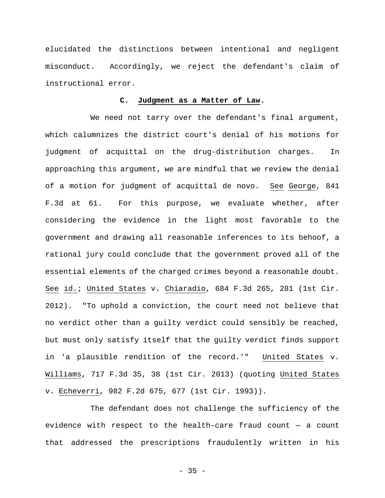elucidated the distinctions between intentional and negligent misconduct. Accordingly, we reject the defendant's claim of instructional error.

# **C. Judgment as a Matter of Law.**

We need not tarry over the defendant's final argument, which calumnizes the district court's denial of his motions for judgment of acquittal on the drug-distribution charges. In approaching this argument, we are mindful that we review the denial of a motion for judgment of acquittal de novo. See George, 841 F.3d at 61. For this purpose, we evaluate whether, after considering the evidence in the light most favorable to the government and drawing all reasonable inferences to its behoof, a rational jury could conclude that the government proved all of the essential elements of the charged crimes beyond a reasonable doubt. See id.; United States v. Chiaradio, 684 F.3d 265, 281 (1st Cir. 2012). "To uphold a conviction, the court need not believe that no verdict other than a guilty verdict could sensibly be reached, but must only satisfy itself that the guilty verdict finds support in 'a plausible rendition of the record.'" United States v. Williams, 717 F.3d 35, 38 (1st Cir. 2013) (quoting United States v. Echeverri, 982 F.2d 675, 677 (1st Cir. 1993)).

The defendant does not challenge the sufficiency of the evidence with respect to the health-care fraud count — a count that addressed the prescriptions fraudulently written in his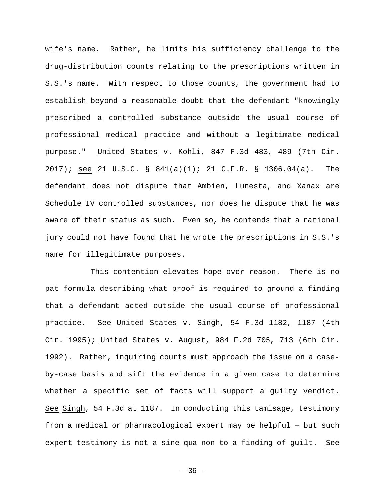wife's name. Rather, he limits his sufficiency challenge to the drug-distribution counts relating to the prescriptions written in S.S.'s name. With respect to those counts, the government had to establish beyond a reasonable doubt that the defendant "knowingly prescribed a controlled substance outside the usual course of professional medical practice and without a legitimate medical purpose." United States v. Kohli, 847 F.3d 483, 489 (7th Cir. 2017); see 21 U.S.C. § 841(a)(1); 21 C.F.R. § 1306.04(a). The defendant does not dispute that Ambien, Lunesta, and Xanax are Schedule IV controlled substances, nor does he dispute that he was aware of their status as such. Even so, he contends that a rational jury could not have found that he wrote the prescriptions in S.S.'s name for illegitimate purposes.

This contention elevates hope over reason. There is no pat formula describing what proof is required to ground a finding that a defendant acted outside the usual course of professional practice. See United States v. Singh, 54 F.3d 1182, 1187 (4th Cir. 1995); United States v. August, 984 F.2d 705, 713 (6th Cir. 1992). Rather, inquiring courts must approach the issue on a caseby-case basis and sift the evidence in a given case to determine whether a specific set of facts will support a guilty verdict. See Singh, 54 F.3d at 1187. In conducting this tamisage, testimony from a medical or pharmacological expert may be helpful — but such expert testimony is not a sine qua non to a finding of guilt. See

- 36 -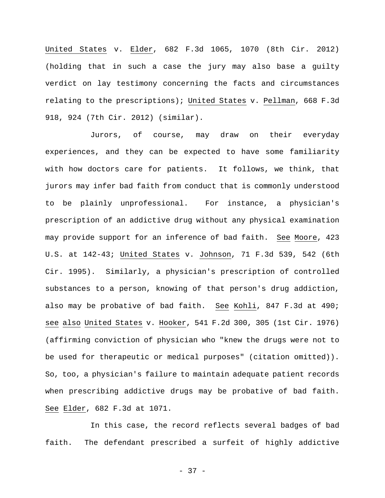United States v. Elder, 682 F.3d 1065, 1070 (8th Cir. 2012) (holding that in such a case the jury may also base a guilty verdict on lay testimony concerning the facts and circumstances relating to the prescriptions); United States v. Pellman, 668 F.3d 918, 924 (7th Cir. 2012) (similar).

Jurors, of course, may draw on their everyday experiences, and they can be expected to have some familiarity with how doctors care for patients. It follows, we think, that jurors may infer bad faith from conduct that is commonly understood to be plainly unprofessional. For instance, a physician's prescription of an addictive drug without any physical examination may provide support for an inference of bad faith. See Moore, 423 U.S. at 142-43; United States v. Johnson, 71 F.3d 539, 542 (6th Cir. 1995). Similarly, a physician's prescription of controlled substances to a person, knowing of that person's drug addiction, also may be probative of bad faith. See Kohli, 847 F.3d at 490; see also United States v. Hooker, 541 F.2d 300, 305 (1st Cir. 1976) (affirming conviction of physician who "knew the drugs were not to be used for therapeutic or medical purposes" (citation omitted)). So, too, a physician's failure to maintain adequate patient records when prescribing addictive drugs may be probative of bad faith. See Elder, 682 F.3d at 1071.

In this case, the record reflects several badges of bad faith. The defendant prescribed a surfeit of highly addictive

- 37 -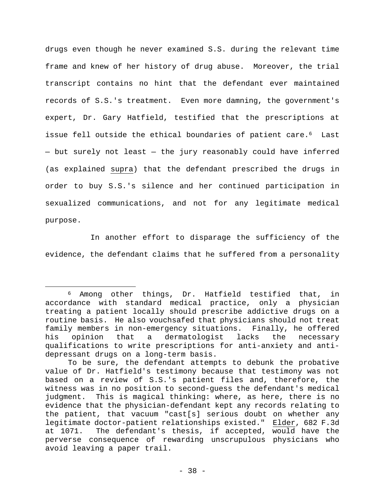drugs even though he never examined S.S. during the relevant time frame and knew of her history of drug abuse. Moreover, the trial transcript contains no hint that the defendant ever maintained records of S.S.'s treatment. Even more damning, the government's expert, Dr. Gary Hatfield, testified that the prescriptions at issue fell outside the ethical boundaries of patient care.<sup>6</sup> Last — but surely not least — the jury reasonably could have inferred (as explained supra) that the defendant prescribed the drugs in order to buy S.S.'s silence and her continued participation in sexualized communications, and not for any legitimate medical purpose.

In another effort to disparage the sufficiency of the evidence, the defendant claims that he suffered from a personality

 $\overline{a}$ 

<sup>6</sup> Among other things, Dr. Hatfield testified that, in accordance with standard medical practice, only a physician treating a patient locally should prescribe addictive drugs on a routine basis. He also vouchsafed that physicians should not treat family members in non-emergency situations. Finally, he offered his opinion that a dermatologist lacks the necessary qualifications to write prescriptions for anti-anxiety and antidepressant drugs on a long-term basis.

To be sure, the defendant attempts to debunk the probative value of Dr. Hatfield's testimony because that testimony was not based on a review of S.S.'s patient files and, therefore, the witness was in no position to second-guess the defendant's medical judgment. This is magical thinking: where, as here, there is no evidence that the physician-defendant kept any records relating to the patient, that vacuum "cast[s] serious doubt on whether any legitimate doctor-patient relationships existed." Elder, 682 F.3d at 1071. The defendant's thesis, if accepted, would have the perverse consequence of rewarding unscrupulous physicians who avoid leaving a paper trail.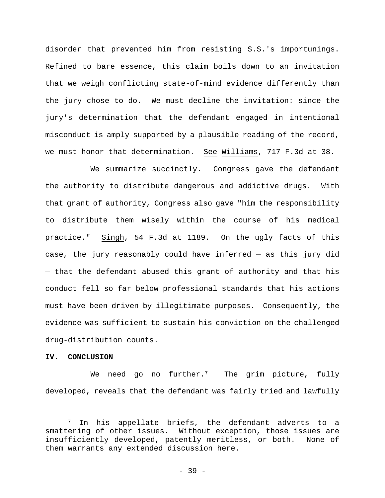disorder that prevented him from resisting S.S.'s importunings. Refined to bare essence, this claim boils down to an invitation that we weigh conflicting state-of-mind evidence differently than the jury chose to do. We must decline the invitation: since the jury's determination that the defendant engaged in intentional misconduct is amply supported by a plausible reading of the record, we must honor that determination. See Williams, 717 F.3d at 38.

We summarize succinctly. Congress gave the defendant the authority to distribute dangerous and addictive drugs. With that grant of authority, Congress also gave "him the responsibility to distribute them wisely within the course of his medical practice." Singh, 54 F.3d at 1189. On the ugly facts of this case, the jury reasonably could have inferred — as this jury did — that the defendant abused this grant of authority and that his conduct fell so far below professional standards that his actions must have been driven by illegitimate purposes. Consequently, the evidence was sufficient to sustain his conviction on the challenged drug-distribution counts.

# **IV. CONCLUSION**

 $\overline{a}$ 

We need go no further.<sup>7</sup> The grim picture, fully developed, reveals that the defendant was fairly tried and lawfully

<sup>7</sup> In his appellate briefs, the defendant adverts to a smattering of other issues. Without exception, those issues are insufficiently developed, patently meritless, or both. None of them warrants any extended discussion here.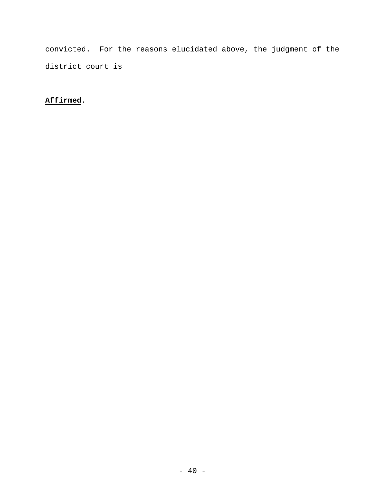convicted. For the reasons elucidated above, the judgment of the district court is

# **Affirmed.**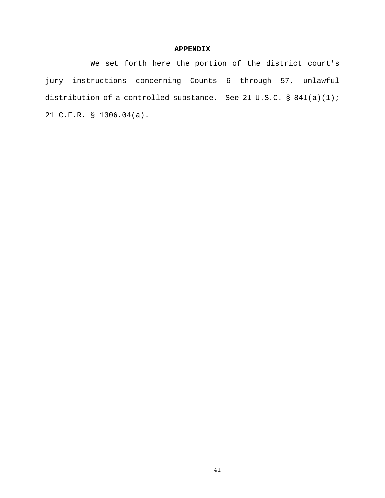# **APPENDIX**

We set forth here the portion of the district court's jury instructions concerning Counts 6 through 57, unlawful distribution of a controlled substance. See 21 U.S.C. § 841(a)(1); 21 C.F.R. § 1306.04(a).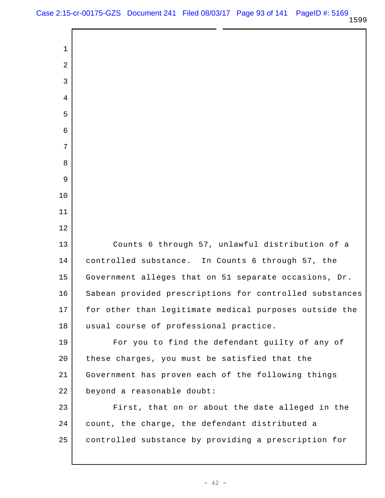Counts 6 through 57, unlawful distribution of a controlled substance. In Counts 6 through 57, the Government alleges that on 51 separate occasions, Dr. Sabean provided prescriptions for controlled substances for other than legitimate medical purposes outside the usual course of professional practice. For you to find the defendant guilty of any of these charges, you must be satisfied that the Government has proven each of the following things beyond a reasonable doubt: First, that on or about the date alleged in the count, the charge, the defendant distributed a controlled substance by providing a prescription for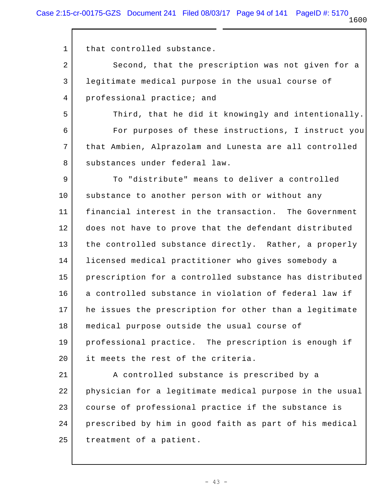1 that controlled substance.

2 3 4 Second, that the prescription was not given for a legitimate medical purpose in the usual course of professional practice; and

5 6 7 8 Third, that he did it knowingly and intentionally. For purposes of these instructions, I instruct you that Ambien, Alprazolam and Lunesta are all controlled substances under federal law.

9 10 11 12 13 14 15 16 17 18 19 20 To "distribute" means to deliver a controlled substance to another person with or without any financial interest in the transaction. The Government does not have to prove that the defendant distributed the controlled substance directly. Rather, a properly licensed medical practitioner who gives somebody a prescription for a controlled substance has distributed a controlled substance in violation of federal law if he issues the prescription for other than a legitimate medical purpose outside the usual course of professional practice. The prescription is enough if it meets the rest of the criteria.

21 22 23 24 25 A controlled substance is prescribed by a physician for a legitimate medical purpose in the usual course of professional practice if the substance is prescribed by him in good faith as part of his medical treatment of a patient.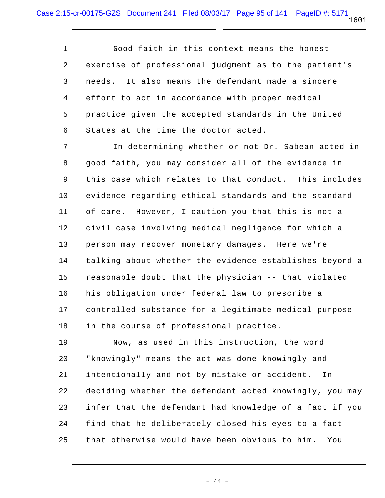1 2 3 4 5 6 Good faith in this context means the honest exercise of professional judgment as to the patient's needs. It also means the defendant made a sincere effort to act in accordance with proper medical practice given the accepted standards in the United States at the time the doctor acted.

7 8 9 10 11 12 13 14 15 16 17 18 In determining whether or not Dr. Sabean acted in good faith, you may consider all of the evidence in this case which relates to that conduct. This includes evidence regarding ethical standards and the standard of care. However, I caution you that this is not a civil case involving medical negligence for which a person may recover monetary damages. Here we're talking about whether the evidence establishes beyond a reasonable doubt that the physician -- that violated his obligation under federal law to prescribe a controlled substance for a legitimate medical purpose in the course of professional practice.

19 20 21 22 23 24 25 Now, as used in this instruction, the word "knowingly" means the act was done knowingly and intentionally and not by mistake or accident. In deciding whether the defendant acted knowingly, you may infer that the defendant had knowledge of a fact if you find that he deliberately closed his eyes to a fact that otherwise would have been obvious to him. You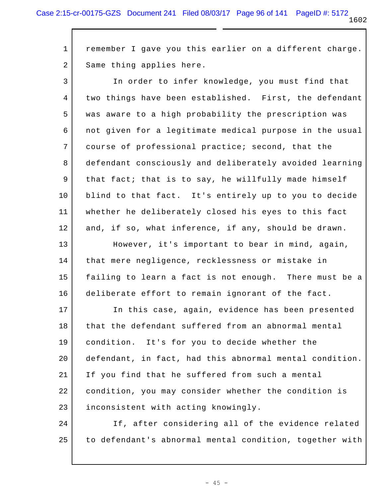1 2 remember I gave you this earlier on a different charge. Same thing applies here.

3 4 5 6 7 8 9 10 11 12 In order to infer knowledge, you must find that two things have been established. First, the defendant was aware to a high probability the prescription was not given for a legitimate medical purpose in the usual course of professional practice; second, that the defendant consciously and deliberately avoided learning that fact; that is to say, he willfully made himself blind to that fact. It's entirely up to you to decide whether he deliberately closed his eyes to this fact and, if so, what inference, if any, should be drawn.

13 14 15 16 However, it's important to bear in mind, again, that mere negligence, recklessness or mistake in failing to learn a fact is not enough. There must be a deliberate effort to remain ignorant of the fact.

17 18 19 20 21 22 23 In this case, again, evidence has been presented that the defendant suffered from an abnormal mental condition. It's for you to decide whether the defendant, in fact, had this abnormal mental condition. If you find that he suffered from such a mental condition, you may consider whether the condition is inconsistent with acting knowingly.

24 25 If, after considering all of the evidence related to defendant's abnormal mental condition, together with